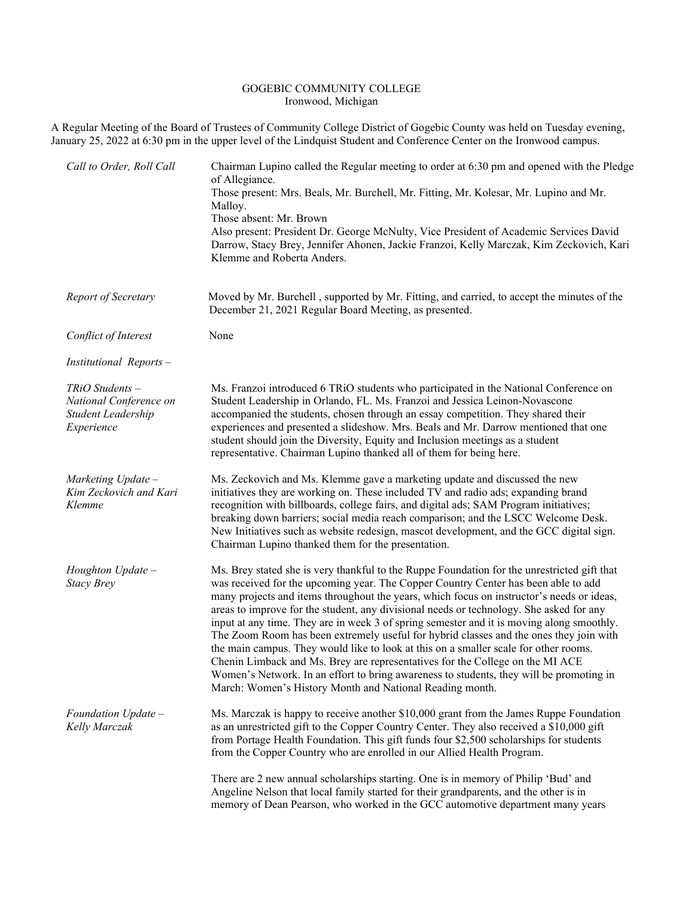## GOGEBIC COMMUNITY COLLEGE Ironwood, Michigan

A Regular Meeting of the Board of Trustees of Community College District of Gogebic County was held on Tuesday evening, January 25, 2022 at 6:30 pm in the upper level of the Lindquist Student and Conference Center on the Ironwood campus.

| Call to Order, Roll Call                                                        | Chairman Lupino called the Regular meeting to order at 6:30 pm and opened with the Pledge<br>of Allegiance.<br>Those present: Mrs. Beals, Mr. Burchell, Mr. Fitting, Mr. Kolesar, Mr. Lupino and Mr.<br>Malloy.<br>Those absent: Mr. Brown<br>Also present: President Dr. George McNulty, Vice President of Academic Services David<br>Darrow, Stacy Brey, Jennifer Ahonen, Jackie Franzoi, Kelly Marczak, Kim Zeckovich, Kari<br>Klemme and Roberta Anders.                                                                                                                                                                                                                                                                                                                                                                                                                                     |
|---------------------------------------------------------------------------------|--------------------------------------------------------------------------------------------------------------------------------------------------------------------------------------------------------------------------------------------------------------------------------------------------------------------------------------------------------------------------------------------------------------------------------------------------------------------------------------------------------------------------------------------------------------------------------------------------------------------------------------------------------------------------------------------------------------------------------------------------------------------------------------------------------------------------------------------------------------------------------------------------|
| Report of Secretary                                                             | Moved by Mr. Burchell, supported by Mr. Fitting, and carried, to accept the minutes of the<br>December 21, 2021 Regular Board Meeting, as presented.                                                                                                                                                                                                                                                                                                                                                                                                                                                                                                                                                                                                                                                                                                                                             |
| Conflict of Interest                                                            | None                                                                                                                                                                                                                                                                                                                                                                                                                                                                                                                                                                                                                                                                                                                                                                                                                                                                                             |
| Institutional Reports -                                                         |                                                                                                                                                                                                                                                                                                                                                                                                                                                                                                                                                                                                                                                                                                                                                                                                                                                                                                  |
| $TRiO$ Students -<br>National Conference on<br>Student Leadership<br>Experience | Ms. Franzoi introduced 6 TRiO students who participated in the National Conference on<br>Student Leadership in Orlando, FL. Ms. Franzoi and Jessica Leinon-Novascone<br>accompanied the students, chosen through an essay competition. They shared their<br>experiences and presented a slideshow. Mrs. Beals and Mr. Darrow mentioned that one<br>student should join the Diversity, Equity and Inclusion meetings as a student<br>representative. Chairman Lupino thanked all of them for being here.                                                                                                                                                                                                                                                                                                                                                                                          |
| Marketing Update -<br>Kim Zeckovich and Kari<br>Klemme                          | Ms. Zeckovich and Ms. Klemme gave a marketing update and discussed the new<br>initiatives they are working on. These included TV and radio ads; expanding brand<br>recognition with billboards, college fairs, and digital ads; SAM Program initiatives;<br>breaking down barriers; social media reach comparison; and the LSCC Welcome Desk.<br>New Initiatives such as website redesign, mascot development, and the GCC digital sign.<br>Chairman Lupino thanked them for the presentation.                                                                                                                                                                                                                                                                                                                                                                                                   |
| Houghton Update -<br><b>Stacy Brey</b>                                          | Ms. Brey stated she is very thankful to the Ruppe Foundation for the unrestricted gift that<br>was received for the upcoming year. The Copper Country Center has been able to add<br>many projects and items throughout the years, which focus on instructor's needs or ideas,<br>areas to improve for the student, any divisional needs or technology. She asked for any<br>input at any time. They are in week 3 of spring semester and it is moving along smoothly.<br>The Zoom Room has been extremely useful for hybrid classes and the ones they join with<br>the main campus. They would like to look at this on a smaller scale for other rooms.<br>Chenin Limback and Ms. Brey are representatives for the College on the MI ACE<br>Women's Network. In an effort to bring awareness to students, they will be promoting in<br>March: Women's History Month and National Reading month. |
| Foundation Update -<br>Kelly Marczak                                            | Ms. Marczak is happy to receive another \$10,000 grant from the James Ruppe Foundation<br>as an unrestricted gift to the Copper Country Center. They also received a \$10,000 gift<br>from Portage Health Foundation. This gift funds four \$2,500 scholarships for students<br>from the Copper Country who are enrolled in our Allied Health Program.                                                                                                                                                                                                                                                                                                                                                                                                                                                                                                                                           |
|                                                                                 | There are 2 new annual scholarships starting. One is in memory of Philip 'Bud' and<br>Angeline Nelson that local family started for their grandparents, and the other is in<br>memory of Dean Pearson, who worked in the GCC automotive department many years                                                                                                                                                                                                                                                                                                                                                                                                                                                                                                                                                                                                                                    |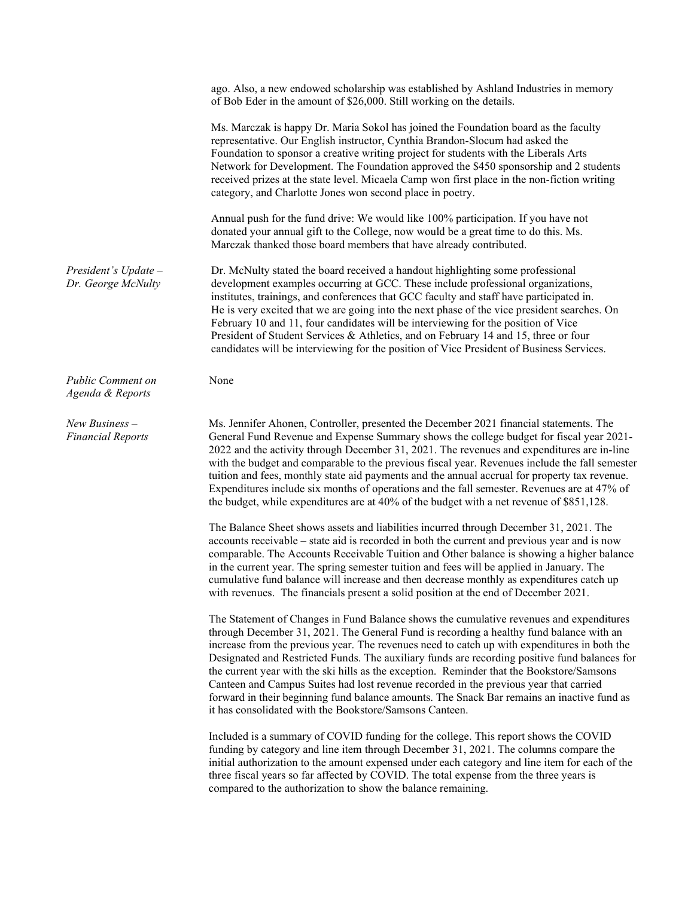|                                              | ago. Also, a new endowed scholarship was established by Ashland Industries in memory<br>of Bob Eder in the amount of \$26,000. Still working on the details.                                                                                                                                                                                                                                                                                                                                                                                                                                                                                                                                                                       |
|----------------------------------------------|------------------------------------------------------------------------------------------------------------------------------------------------------------------------------------------------------------------------------------------------------------------------------------------------------------------------------------------------------------------------------------------------------------------------------------------------------------------------------------------------------------------------------------------------------------------------------------------------------------------------------------------------------------------------------------------------------------------------------------|
|                                              | Ms. Marczak is happy Dr. Maria Sokol has joined the Foundation board as the faculty<br>representative. Our English instructor, Cynthia Brandon-Slocum had asked the<br>Foundation to sponsor a creative writing project for students with the Liberals Arts<br>Network for Development. The Foundation approved the \$450 sponsorship and 2 students<br>received prizes at the state level. Micaela Camp won first place in the non-fiction writing<br>category, and Charlotte Jones won second place in poetry.                                                                                                                                                                                                                   |
|                                              | Annual push for the fund drive: We would like 100% participation. If you have not<br>donated your annual gift to the College, now would be a great time to do this. Ms.<br>Marczak thanked those board members that have already contributed.                                                                                                                                                                                                                                                                                                                                                                                                                                                                                      |
| President's $Update -$<br>Dr. George McNulty | Dr. McNulty stated the board received a handout highlighting some professional<br>development examples occurring at GCC. These include professional organizations,<br>institutes, trainings, and conferences that GCC faculty and staff have participated in.<br>He is very excited that we are going into the next phase of the vice president searches. On<br>February 10 and 11, four candidates will be interviewing for the position of Vice<br>President of Student Services & Athletics, and on February 14 and 15, three or four<br>candidates will be interviewing for the position of Vice President of Business Services.                                                                                               |
| <b>Public Comment on</b><br>Agenda & Reports | None                                                                                                                                                                                                                                                                                                                                                                                                                                                                                                                                                                                                                                                                                                                               |
| $New Business -$<br><b>Financial Reports</b> | Ms. Jennifer Ahonen, Controller, presented the December 2021 financial statements. The<br>General Fund Revenue and Expense Summary shows the college budget for fiscal year 2021-<br>2022 and the activity through December 31, 2021. The revenues and expenditures are in-line<br>with the budget and comparable to the previous fiscal year. Revenues include the fall semester<br>tuition and fees, monthly state aid payments and the annual accrual for property tax revenue.<br>Expenditures include six months of operations and the fall semester. Revenues are at 47% of<br>the budget, while expenditures are at 40% of the budget with a net revenue of \$851,128.                                                      |
|                                              | The Balance Sheet shows assets and liabilities incurred through December 31, 2021. The<br>accounts receivable – state aid is recorded in both the current and previous year and is now<br>comparable. The Accounts Receivable Tuition and Other balance is showing a higher balance<br>in the current year. The spring semester tuition and fees will be applied in January. The<br>cumulative fund balance will increase and then decrease monthly as expenditures catch up<br>with revenues. The financials present a solid position at the end of December 2021.                                                                                                                                                                |
|                                              | The Statement of Changes in Fund Balance shows the cumulative revenues and expenditures<br>through December 31, 2021. The General Fund is recording a healthy fund balance with an<br>increase from the previous year. The revenues need to catch up with expenditures in both the<br>Designated and Restricted Funds. The auxiliary funds are recording positive fund balances for<br>the current year with the ski hills as the exception. Reminder that the Bookstore/Samsons<br>Canteen and Campus Suites had lost revenue recorded in the previous year that carried<br>forward in their beginning fund balance amounts. The Snack Bar remains an inactive fund as<br>it has consolidated with the Bookstore/Samsons Canteen. |
|                                              | Included is a summary of COVID funding for the college. This report shows the COVID<br>funding by category and line item through December 31, 2021. The columns compare the<br>initial authorization to the amount expensed under each category and line item for each of the<br>three fiscal years so far affected by COVID. The total expense from the three years is                                                                                                                                                                                                                                                                                                                                                            |

compared to the authorization to show the balance remaining.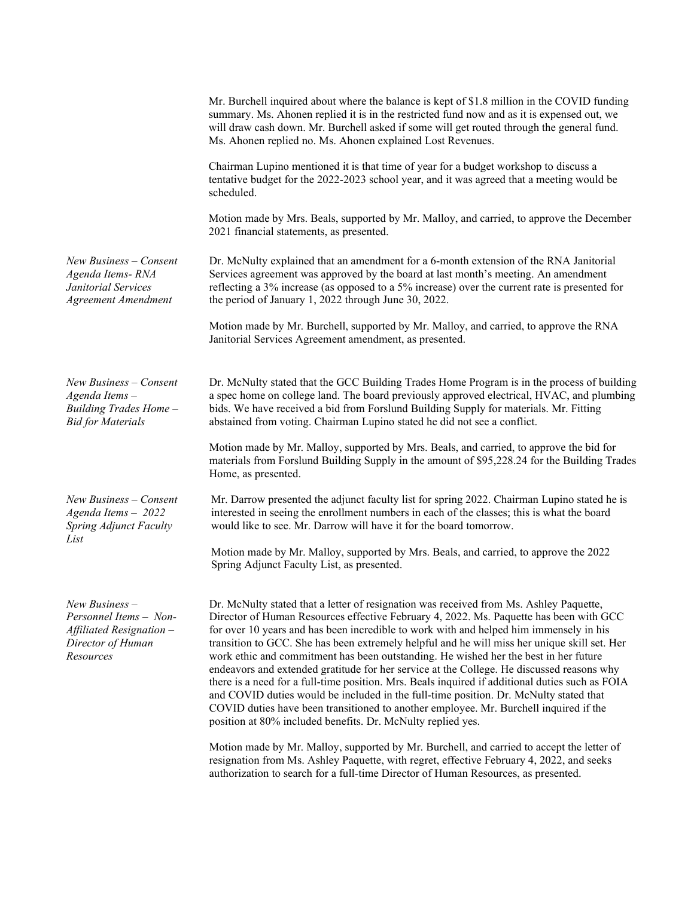|                                                                                                          | Mr. Burchell inquired about where the balance is kept of \$1.8 million in the COVID funding<br>summary. Ms. Ahonen replied it is in the restricted fund now and as it is expensed out, we<br>will draw cash down. Mr. Burchell asked if some will get routed through the general fund.<br>Ms. Ahonen replied no. Ms. Ahonen explained Lost Revenues.                                                                                                                                                                                                                                                                                                                                                                                                                                                                                                                                                                |
|----------------------------------------------------------------------------------------------------------|---------------------------------------------------------------------------------------------------------------------------------------------------------------------------------------------------------------------------------------------------------------------------------------------------------------------------------------------------------------------------------------------------------------------------------------------------------------------------------------------------------------------------------------------------------------------------------------------------------------------------------------------------------------------------------------------------------------------------------------------------------------------------------------------------------------------------------------------------------------------------------------------------------------------|
|                                                                                                          | Chairman Lupino mentioned it is that time of year for a budget workshop to discuss a<br>tentative budget for the 2022-2023 school year, and it was agreed that a meeting would be<br>scheduled.                                                                                                                                                                                                                                                                                                                                                                                                                                                                                                                                                                                                                                                                                                                     |
|                                                                                                          | Motion made by Mrs. Beals, supported by Mr. Malloy, and carried, to approve the December<br>2021 financial statements, as presented.                                                                                                                                                                                                                                                                                                                                                                                                                                                                                                                                                                                                                                                                                                                                                                                |
| $New Business-Consent$<br>Agenda Items-RNA<br>Janitorial Services<br><b>Agreement Amendment</b>          | Dr. McNulty explained that an amendment for a 6-month extension of the RNA Janitorial<br>Services agreement was approved by the board at last month's meeting. An amendment<br>reflecting a 3% increase (as opposed to a 5% increase) over the current rate is presented for<br>the period of January 1, 2022 through June 30, 2022.                                                                                                                                                                                                                                                                                                                                                                                                                                                                                                                                                                                |
|                                                                                                          | Motion made by Mr. Burchell, supported by Mr. Malloy, and carried, to approve the RNA<br>Janitorial Services Agreement amendment, as presented.                                                                                                                                                                                                                                                                                                                                                                                                                                                                                                                                                                                                                                                                                                                                                                     |
| $New Business-Consent$<br>Agenda Items-<br>Building Trades Home -<br><b>Bid for Materials</b>            | Dr. McNulty stated that the GCC Building Trades Home Program is in the process of building<br>a spec home on college land. The board previously approved electrical, HVAC, and plumbing<br>bids. We have received a bid from Forslund Building Supply for materials. Mr. Fitting<br>abstained from voting. Chairman Lupino stated he did not see a conflict.                                                                                                                                                                                                                                                                                                                                                                                                                                                                                                                                                        |
|                                                                                                          | Motion made by Mr. Malloy, supported by Mrs. Beals, and carried, to approve the bid for<br>materials from Forslund Building Supply in the amount of \$95,228.24 for the Building Trades<br>Home, as presented.                                                                                                                                                                                                                                                                                                                                                                                                                                                                                                                                                                                                                                                                                                      |
| New Business - Consent<br>Agenda Items $-2022$<br>Spring Adjunct Faculty<br>List                         | Mr. Darrow presented the adjunct faculty list for spring 2022. Chairman Lupino stated he is<br>interested in seeing the enrollment numbers in each of the classes; this is what the board<br>would like to see. Mr. Darrow will have it for the board tomorrow.                                                                                                                                                                                                                                                                                                                                                                                                                                                                                                                                                                                                                                                     |
|                                                                                                          | Motion made by Mr. Malloy, supported by Mrs. Beals, and carried, to approve the 2022<br>Spring Adjunct Faculty List, as presented.                                                                                                                                                                                                                                                                                                                                                                                                                                                                                                                                                                                                                                                                                                                                                                                  |
| $New Business -$<br>Personnel Items - Non-<br>Affiliated Resignation -<br>Director of Human<br>Resources | Dr. McNulty stated that a letter of resignation was received from Ms. Ashley Paquette,<br>Director of Human Resources effective February 4, 2022. Ms. Paquette has been with GCC<br>for over 10 years and has been incredible to work with and helped him immensely in his<br>transition to GCC. She has been extremely helpful and he will miss her unique skill set. Her<br>work ethic and commitment has been outstanding. He wished her the best in her future<br>endeavors and extended gratitude for her service at the College. He discussed reasons why<br>there is a need for a full-time position. Mrs. Beals inquired if additional duties such as FOIA<br>and COVID duties would be included in the full-time position. Dr. McNulty stated that<br>COVID duties have been transitioned to another employee. Mr. Burchell inquired if the<br>position at 80% included benefits. Dr. McNulty replied yes. |
|                                                                                                          | Motion made by Mr. Malloy, supported by Mr. Burchell, and carried to accept the letter of<br>resignation from Ms. Ashley Paquette, with regret, effective February 4, 2022, and seeks<br>authorization to search for a full-time Director of Human Resources, as presented.                                                                                                                                                                                                                                                                                                                                                                                                                                                                                                                                                                                                                                         |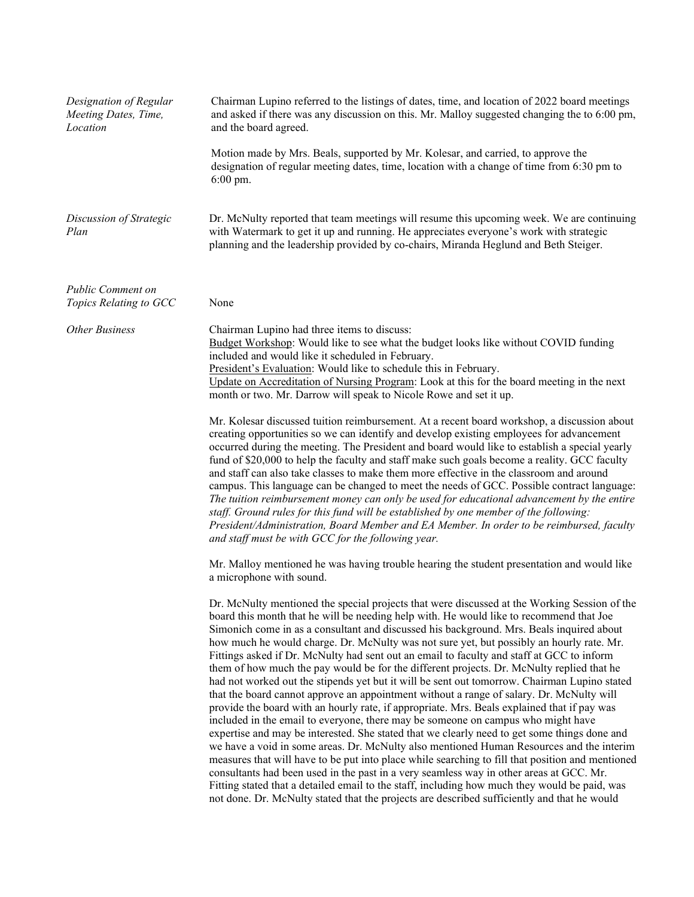| Designation of Regular<br>Meeting Dates, Time,<br>Location | Chairman Lupino referred to the listings of dates, time, and location of 2022 board meetings<br>and asked if there was any discussion on this. Mr. Malloy suggested changing the to 6:00 pm,<br>and the board agreed.                                                                                                                                                                                                                                                                                                                                                                                                                                                                                                                                                                                                                                                                                                                                                                                                                                                                                                                                                                                                                                                                                                                                                                                                                                                                                                                               |
|------------------------------------------------------------|-----------------------------------------------------------------------------------------------------------------------------------------------------------------------------------------------------------------------------------------------------------------------------------------------------------------------------------------------------------------------------------------------------------------------------------------------------------------------------------------------------------------------------------------------------------------------------------------------------------------------------------------------------------------------------------------------------------------------------------------------------------------------------------------------------------------------------------------------------------------------------------------------------------------------------------------------------------------------------------------------------------------------------------------------------------------------------------------------------------------------------------------------------------------------------------------------------------------------------------------------------------------------------------------------------------------------------------------------------------------------------------------------------------------------------------------------------------------------------------------------------------------------------------------------------|
|                                                            | Motion made by Mrs. Beals, supported by Mr. Kolesar, and carried, to approve the<br>designation of regular meeting dates, time, location with a change of time from 6:30 pm to<br>$6:00$ pm.                                                                                                                                                                                                                                                                                                                                                                                                                                                                                                                                                                                                                                                                                                                                                                                                                                                                                                                                                                                                                                                                                                                                                                                                                                                                                                                                                        |
| Discussion of Strategic<br>Plan                            | Dr. McNulty reported that team meetings will resume this upcoming week. We are continuing<br>with Watermark to get it up and running. He appreciates everyone's work with strategic<br>planning and the leadership provided by co-chairs, Miranda Heglund and Beth Steiger.                                                                                                                                                                                                                                                                                                                                                                                                                                                                                                                                                                                                                                                                                                                                                                                                                                                                                                                                                                                                                                                                                                                                                                                                                                                                         |
| <b>Public Comment on</b><br>Topics Relating to GCC         | None                                                                                                                                                                                                                                                                                                                                                                                                                                                                                                                                                                                                                                                                                                                                                                                                                                                                                                                                                                                                                                                                                                                                                                                                                                                                                                                                                                                                                                                                                                                                                |
| <b>Other Business</b>                                      | Chairman Lupino had three items to discuss:<br>Budget Workshop: Would like to see what the budget looks like without COVID funding<br>included and would like it scheduled in February.<br>President's Evaluation: Would like to schedule this in February.<br>Update on Accreditation of Nursing Program: Look at this for the board meeting in the next<br>month or two. Mr. Darrow will speak to Nicole Rowe and set it up.                                                                                                                                                                                                                                                                                                                                                                                                                                                                                                                                                                                                                                                                                                                                                                                                                                                                                                                                                                                                                                                                                                                      |
|                                                            | Mr. Kolesar discussed tuition reimbursement. At a recent board workshop, a discussion about<br>creating opportunities so we can identify and develop existing employees for advancement<br>occurred during the meeting. The President and board would like to establish a special yearly<br>fund of \$20,000 to help the faculty and staff make such goals become a reality. GCC faculty<br>and staff can also take classes to make them more effective in the classroom and around<br>campus. This language can be changed to meet the needs of GCC. Possible contract language:<br>The tuition reimbursement money can only be used for educational advancement by the entire<br>staff. Ground rules for this fund will be established by one member of the following:<br>President/Administration, Board Member and EA Member. In order to be reimbursed, faculty<br>and staff must be with GCC for the following year.                                                                                                                                                                                                                                                                                                                                                                                                                                                                                                                                                                                                                          |
|                                                            | Mr. Malloy mentioned he was having trouble hearing the student presentation and would like<br>a microphone with sound.                                                                                                                                                                                                                                                                                                                                                                                                                                                                                                                                                                                                                                                                                                                                                                                                                                                                                                                                                                                                                                                                                                                                                                                                                                                                                                                                                                                                                              |
|                                                            | Dr. McNulty mentioned the special projects that were discussed at the Working Session of the<br>board this month that he will be needing help with. He would like to recommend that Joe<br>Simonich come in as a consultant and discussed his background. Mrs. Beals inquired about<br>how much he would charge. Dr. McNulty was not sure yet, but possibly an hourly rate. Mr.<br>Fittings asked if Dr. McNulty had sent out an email to faculty and staff at GCC to inform<br>them of how much the pay would be for the different projects. Dr. McNulty replied that he<br>had not worked out the stipends yet but it will be sent out tomorrow. Chairman Lupino stated<br>that the board cannot approve an appointment without a range of salary. Dr. McNulty will<br>provide the board with an hourly rate, if appropriate. Mrs. Beals explained that if pay was<br>included in the email to everyone, there may be someone on campus who might have<br>expertise and may be interested. She stated that we clearly need to get some things done and<br>we have a void in some areas. Dr. McNulty also mentioned Human Resources and the interim<br>measures that will have to be put into place while searching to fill that position and mentioned<br>consultants had been used in the past in a very seamless way in other areas at GCC. Mr.<br>Fitting stated that a detailed email to the staff, including how much they would be paid, was<br>not done. Dr. McNulty stated that the projects are described sufficiently and that he would |